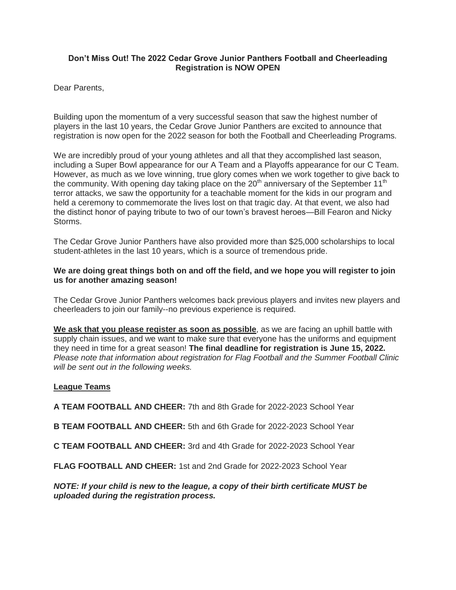## **Don't Miss Out! The 2022 Cedar Grove Junior Panthers Football and Cheerleading Registration is NOW OPEN**

Dear Parents,

Building upon the momentum of a very successful season that saw the highest number of players in the last 10 years, the Cedar Grove Junior Panthers are excited to announce that registration is now open for the 2022 season for both the Football and Cheerleading Programs.

We are incredibly proud of your young athletes and all that they accomplished last season, including a Super Bowl appearance for our A Team and a Playoffs appearance for our C Team. However, as much as we love winning, true glory comes when we work together to give back to the community. With opening day taking place on the  $20<sup>th</sup>$  anniversary of the September 11<sup>th</sup> terror attacks, we saw the opportunity for a teachable moment for the kids in our program and held a ceremony to commemorate the lives lost on that tragic day. At that event, we also had the distinct honor of paying tribute to two of our town's bravest heroes—Bill Fearon and Nicky Storms.

The Cedar Grove Junior Panthers have also provided more than \$25,000 scholarships to local student-athletes in the last 10 years, which is a source of tremendous pride.

## **We are doing great things both on and off the field, and we hope you will register to join us for another amazing season!**

The Cedar Grove Junior Panthers welcomes back previous players and invites new players and cheerleaders to join our family--no previous experience is required.

**We ask that you please register as soon as possible**, as we are facing an uphill battle with supply chain issues, and we want to make sure that everyone has the uniforms and equipment they need in time for a great season! **The final deadline for registration is June 15, 2022.** *Please note that information about registration for Flag Football and the Summer Football Clinic will be sent out in the following weeks.*

## **League Teams**

**A TEAM FOOTBALL AND CHEER:** 7th and 8th Grade for 2022-2023 School Year

**B TEAM FOOTBALL AND CHEER:** 5th and 6th Grade for 2022-2023 School Year

**C TEAM FOOTBALL AND CHEER:** 3rd and 4th Grade for 2022-2023 School Year

**FLAG FOOTBALL AND CHEER:** 1st and 2nd Grade for 2022-2023 School Year

*NOTE: If your child is new to the league, a copy of their birth certificate MUST be uploaded during the registration process.*